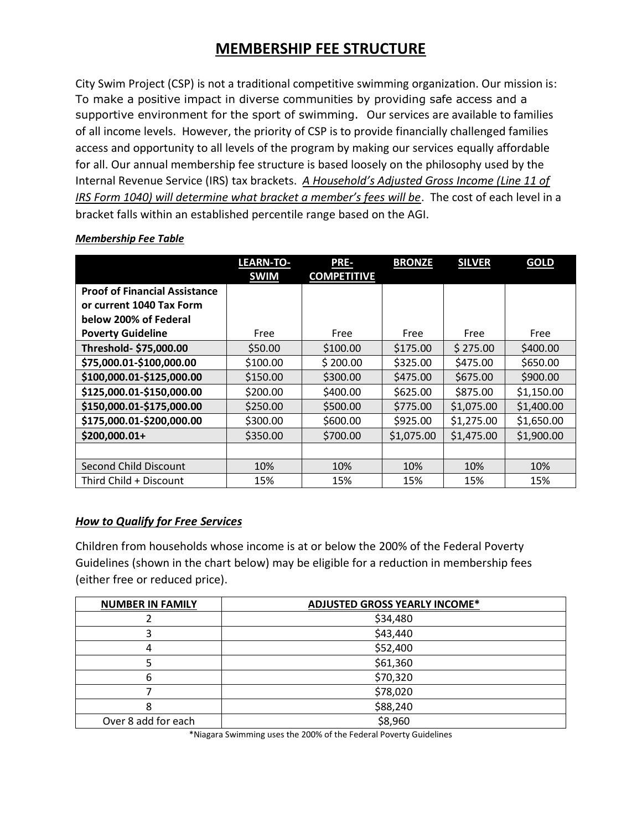## **MEMBERSHIP FEE STRUCTURE**

City Swim Project (CSP) is not a traditional competitive swimming organization. Our mission is: To make a positive impact in diverse communities by providing safe access and a supportive environment for the sport of swimming. Our services are available to families of all income levels. However, the priority of CSP is to provide financially challenged families access and opportunity to all levels of the program by making our services equally affordable for all. Our annual membership fee structure is based loosely on the philosophy used by the Internal Revenue Service (IRS) tax brackets. *A Household's Adjusted Gross Income (Line 11 of IRS Form 1040) will determine what bracket a member's fees will be*. The cost of each level in a bracket falls within an established percentile range based on the AGI.

|                                      | <b>LEARN-TO-</b><br><b>SWIM</b> | <b>PRE-</b><br><b>COMPETITIVE</b> | <b>BRONZE</b> | <b>SILVER</b> | <b>GOLD</b> |
|--------------------------------------|---------------------------------|-----------------------------------|---------------|---------------|-------------|
| <b>Proof of Financial Assistance</b> |                                 |                                   |               |               |             |
| or current 1040 Tax Form             |                                 |                                   |               |               |             |
| below 200% of Federal                |                                 |                                   |               |               |             |
| <b>Poverty Guideline</b>             | Free                            | Free                              | Free          | Free          | Free        |
| Threshold- \$75,000.00               | \$50.00                         | \$100.00                          | \$175.00      | \$275.00      | \$400.00    |
| \$75,000.01-\$100,000.00             | \$100.00                        | \$200.00                          | \$325.00      | \$475.00      | \$650.00    |
| \$100,000.01-\$125,000.00            | \$150.00                        | \$300.00                          | \$475.00      | \$675.00      | \$900.00    |
| \$125,000.01-\$150,000.00            | \$200.00                        | \$400.00                          | \$625.00      | \$875.00      | \$1,150.00  |
| \$150,000.01-\$175,000.00            | \$250.00                        | \$500.00                          | \$775.00      | \$1,075.00    | \$1,400.00  |
| \$175,000.01-\$200,000.00            | \$300.00                        | \$600.00                          | \$925.00      | \$1,275.00    | \$1,650.00  |
| \$200,000.01+                        | \$350.00                        | \$700.00                          | \$1,075.00    | \$1,475.00    | \$1,900.00  |
|                                      |                                 |                                   |               |               |             |
| Second Child Discount                | 10%                             | 10%                               | 10%           | 10%           | 10%         |
| Third Child + Discount               | 15%                             | 15%                               | 15%           | 15%           | 15%         |

#### *Membership Fee Table*

#### *How to Qualify for Free Services*

Children from households whose income is at or below the 200% of the Federal Poverty Guidelines (shown in the chart below) may be eligible for a reduction in membership fees (either free or reduced price).

| <b>NUMBER IN FAMILY</b> | <b>ADJUSTED GROSS YEARLY INCOME*</b> |  |  |
|-------------------------|--------------------------------------|--|--|
|                         | \$34,480                             |  |  |
|                         | \$43,440                             |  |  |
|                         | \$52,400                             |  |  |
|                         | \$61,360                             |  |  |
| n                       | \$70,320                             |  |  |
|                         | \$78,020                             |  |  |
|                         | \$88,240                             |  |  |
| Over 8 add for each     | \$8,960                              |  |  |

\*Niagara Swimming uses the 200% of the Federal Poverty Guidelines